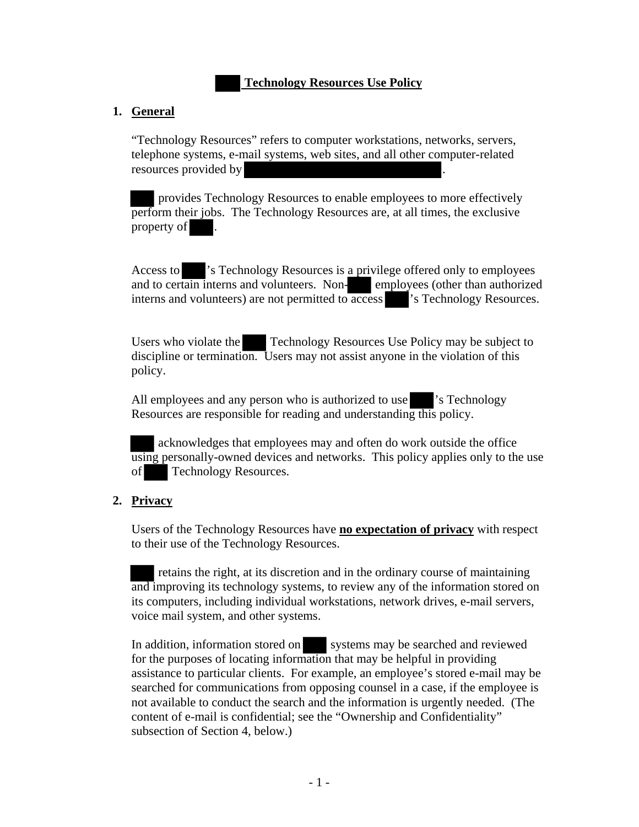# **Technology Resources Use Policy**

#### **1. General**

"Technology Resources" refers to computer workstations, networks, servers, telephone systems, e-mail systems, web sites, and all other computer-related resources provided by .

 provides Technology Resources to enable employees to more effectively perform their jobs. The Technology Resources are, at all times, the exclusive property of .

Access to 's Technology Resources is a privilege offered only to employees and to certain interns and volunteers. Non-<br>employees (other than authorized interns and volunteers) are not permitted to access 's Technology Resources.

Users who violate the Technology Resources Use Policy may be subject to discipline or termination. Users may not assist anyone in the violation of this policy.

All employees and any person who is authorized to use 's Technology Resources are responsible for reading and understanding this policy.

 acknowledges that employees may and often do work outside the office using personally-owned devices and networks. This policy applies only to the use of Technology Resources.

### **2. Privacy**

Users of the Technology Resources have **no expectation of privacy** with respect to their use of the Technology Resources.

 retains the right, at its discretion and in the ordinary course of maintaining and improving its technology systems, to review any of the information stored on its computers, including individual workstations, network drives, e-mail servers, voice mail system, and other systems.

In addition, information stored on systems may be searched and reviewed for the purposes of locating information that may be helpful in providing assistance to particular clients. For example, an employee's stored e-mail may be searched for communications from opposing counsel in a case, if the employee is not available to conduct the search and the information is urgently needed. (The content of e-mail is confidential; see the "Ownership and Confidentiality" subsection of Section 4, below.)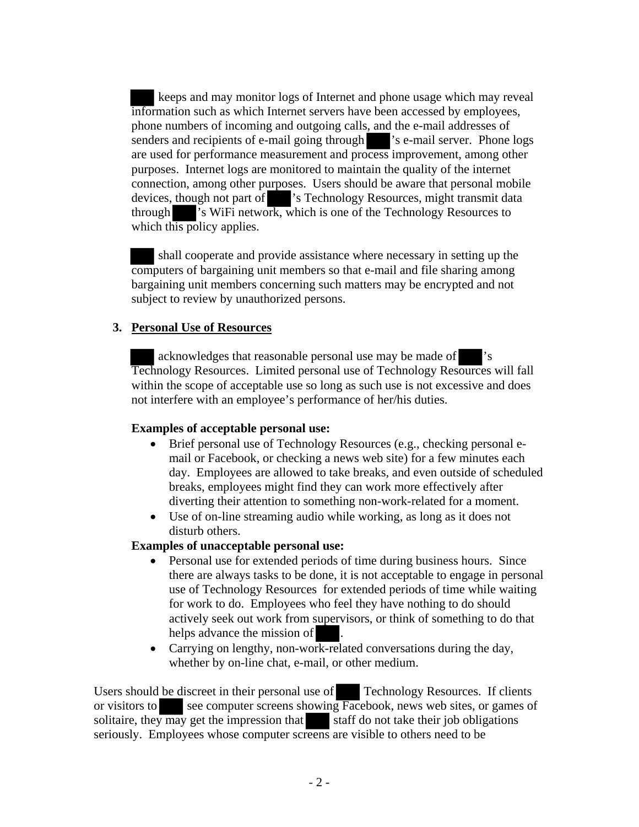keeps and may monitor logs of Internet and phone usage which may reveal information such as which Internet servers have been accessed by employees, phone numbers of incoming and outgoing calls, and the e-mail addresses of senders and recipients of e-mail going through 's e-mail server. Phone logs are used for performance measurement and process improvement, among other purposes. Internet logs are monitored to maintain the quality of the internet connection, among other purposes. Users should be aware that personal mobile devices, though not part of 's Technology Resources, might transmit data through 's WiFi network, which is one of the Technology Resources to which this policy applies.

 shall cooperate and provide assistance where necessary in setting up the computers of bargaining unit members so that e-mail and file sharing among bargaining unit members concerning such matters may be encrypted and not subject to review by unauthorized persons.

#### **3. Personal Use of Resources**

acknowledges that reasonable personal use may be made of Technology Resources. Limited personal use of Technology Resources will fall within the scope of acceptable use so long as such use is not excessive and does not interfere with an employee's performance of her/his duties.

### **Examples of acceptable personal use:**

- Brief personal use of Technology Resources (e.g., checking personal email or Facebook, or checking a news web site) for a few minutes each day. Employees are allowed to take breaks, and even outside of scheduled breaks, employees might find they can work more effectively after diverting their attention to something non-work-related for a moment.
- Use of on-line streaming audio while working, as long as it does not disturb others.

#### **Examples of unacceptable personal use:**

- Personal use for extended periods of time during business hours. Since there are always tasks to be done, it is not acceptable to engage in personal use of Technology Resources for extended periods of time while waiting for work to do. Employees who feel they have nothing to do should actively seek out work from supervisors, or think of something to do that helps advance the mission of
- Carrying on lengthy, non-work-related conversations during the day, whether by on-line chat, e-mail, or other medium.

Users should be discreet in their personal use of Technology Resources. If clients or visitors to see computer screens showing Facebook, news web sites, or games of solitaire, they may get the impression that staff do not take their job obligations seriously. Employees whose computer screens are visible to others need to be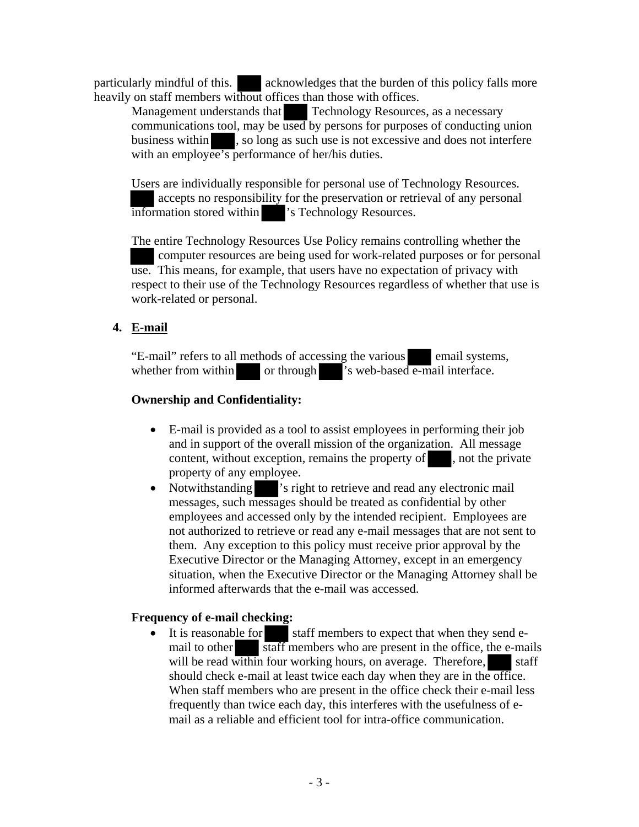particularly mindful of this. acknowledges that the burden of this policy falls more heavily on staff members without offices than those with offices.

Management understands that Technology Resources, as a necessary communications tool, may be used by persons for purposes of conducting union business within , so long as such use is not excessive and does not interfere with an employee's performance of her/his duties.

Users are individually responsible for personal use of Technology Resources. accepts no responsibility for the preservation or retrieval of any personal information stored within 's Technology Resources.

The entire Technology Resources Use Policy remains controlling whether the computer resources are being used for work-related purposes or for personal use. This means, for example, that users have no expectation of privacy with respect to their use of the Technology Resources regardless of whether that use is work-related or personal.

# **4. E-mail**

"E-mail" refers to all methods of accessing the various email systems, whether from within or through 's web-based e-mail interface.

## **Ownership and Confidentiality:**

- E-mail is provided as a tool to assist employees in performing their job and in support of the overall mission of the organization. All message content, without exception, remains the property of , not the private property of any employee.
- Notwithstanding 's right to retrieve and read any electronic mail messages, such messages should be treated as confidential by other employees and accessed only by the intended recipient. Employees are not authorized to retrieve or read any e-mail messages that are not sent to them. Any exception to this policy must receive prior approval by the Executive Director or the Managing Attorney, except in an emergency situation, when the Executive Director or the Managing Attorney shall be informed afterwards that the e-mail was accessed.

### **Frequency of e-mail checking:**

• It is reasonable for staff members to expect that when they send email to other  $\overline{\text{staff}}$  members who are present in the office, the e-mails will be read within four working hours, on average. Therefore, staff should check e-mail at least twice each day when they are in the office. When staff members who are present in the office check their e-mail less frequently than twice each day, this interferes with the usefulness of email as a reliable and efficient tool for intra-office communication.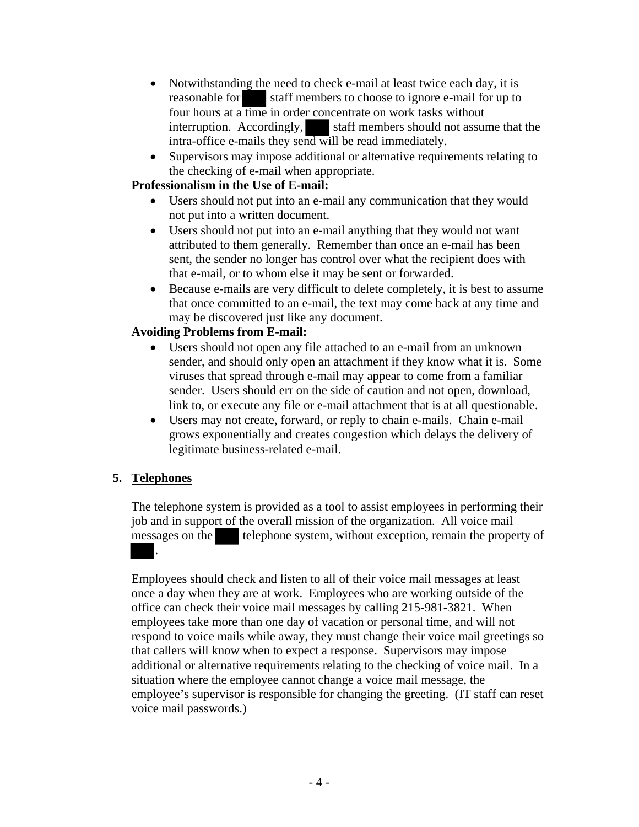- Notwithstanding the need to check e-mail at least twice each day, it is reasonable for staff members to choose to ignore e-mail for up to four hours at a time in order concentrate on work tasks without interruption. Accordingly, staff members should not assume that the intra-office e-mails they send will be read immediately.
- Supervisors may impose additional or alternative requirements relating to the checking of e-mail when appropriate.

### **Professionalism in the Use of E-mail:**

- Users should not put into an e-mail any communication that they would not put into a written document.
- Users should not put into an e-mail anything that they would not want attributed to them generally. Remember than once an e-mail has been sent, the sender no longer has control over what the recipient does with that e-mail, or to whom else it may be sent or forwarded.
- Because e-mails are very difficult to delete completely, it is best to assume that once committed to an e-mail, the text may come back at any time and may be discovered just like any document.

### **Avoiding Problems from E-mail:**

- Users should not open any file attached to an e-mail from an unknown sender, and should only open an attachment if they know what it is. Some viruses that spread through e-mail may appear to come from a familiar sender. Users should err on the side of caution and not open, download, link to, or execute any file or e-mail attachment that is at all questionable.
- Users may not create, forward, or reply to chain e-mails. Chain e-mail grows exponentially and creates congestion which delays the delivery of legitimate business-related e-mail.

### **5. Telephones**

The telephone system is provided as a tool to assist employees in performing their job and in support of the overall mission of the organization. All voice mail messages on the telephone system, without exception, remain the property of .

Employees should check and listen to all of their voice mail messages at least once a day when they are at work. Employees who are working outside of the office can check their voice mail messages by calling 215-981-3821. When employees take more than one day of vacation or personal time, and will not respond to voice mails while away, they must change their voice mail greetings so that callers will know when to expect a response. Supervisors may impose additional or alternative requirements relating to the checking of voice mail. In a situation where the employee cannot change a voice mail message, the employee's supervisor is responsible for changing the greeting. (IT staff can reset voice mail passwords.)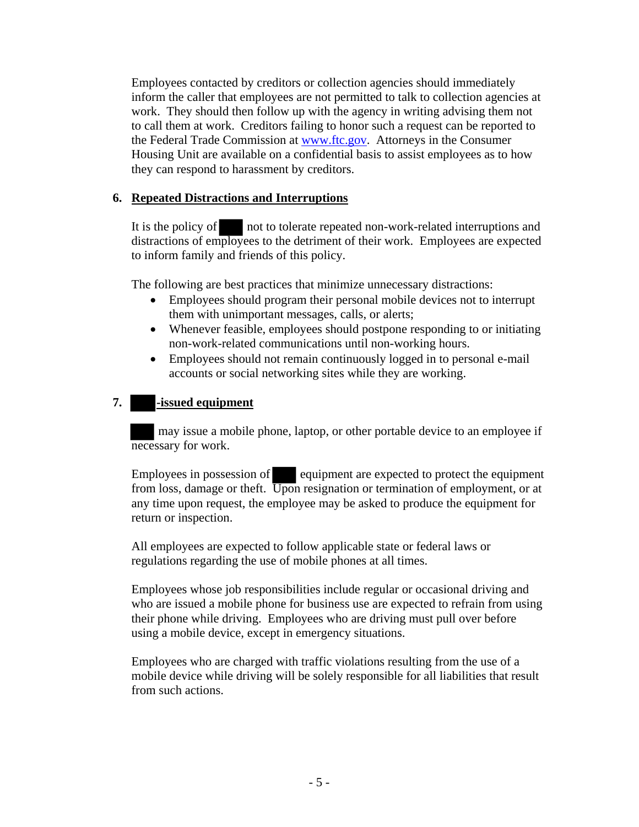Employees contacted by creditors or collection agencies should immediately inform the caller that employees are not permitted to talk to collection agencies at work. They should then follow up with the agency in writing advising them not to call them at work. Creditors failing to honor such a request can be reported to the Federal Trade Commission at www.ftc.gov. Attorneys in the Consumer Housing Unit are available on a confidential basis to assist employees as to how they can respond to harassment by creditors.

### **6. Repeated Distractions and Interruptions**

It is the policy of not to tolerate repeated non-work-related interruptions and distractions of employees to the detriment of their work. Employees are expected to inform family and friends of this policy.

The following are best practices that minimize unnecessary distractions:

- Employees should program their personal mobile devices not to interrupt them with unimportant messages, calls, or alerts;
- Whenever feasible, employees should postpone responding to or initiating non-work-related communications until non-working hours.
- Employees should not remain continuously logged in to personal e-mail accounts or social networking sites while they are working.

# **7. -issued equipment**

 may issue a mobile phone, laptop, or other portable device to an employee if necessary for work.

Employees in possession of equipment are expected to protect the equipment from loss, damage or theft. Upon resignation or termination of employment, or at any time upon request, the employee may be asked to produce the equipment for return or inspection.

All employees are expected to follow applicable state or federal laws or regulations regarding the use of mobile phones at all times.

Employees whose job responsibilities include regular or occasional driving and who are issued a mobile phone for business use are expected to refrain from using their phone while driving. Employees who are driving must pull over before using a mobile device, except in emergency situations.

Employees who are charged with traffic violations resulting from the use of a mobile device while driving will be solely responsible for all liabilities that result from such actions.